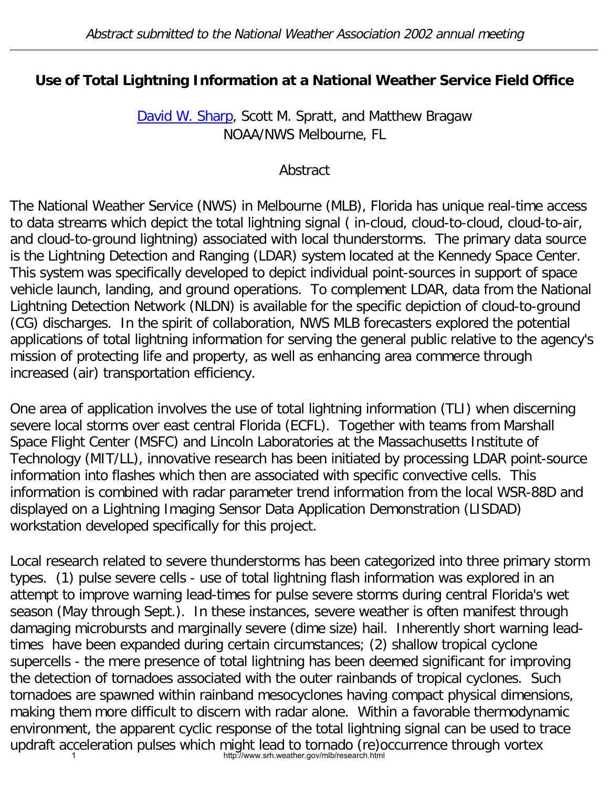## **Use of Total Lightning Information at a National Weather Service Field Office**

[David W. Sharp,](mailto:david.sharp@noaa.gov) Scott M. Spratt, and Matthew Bragaw NOAA/NWS Melbourne, FL

## Abstract

The National Weather Service (NWS) in Melbourne (MLB), Florida has unique real-time access to data streams which depict the total lightning signal ( in-cloud, cloud-to-cloud, cloud-to-air, and cloud-to-ground lightning) associated with local thunderstorms. The primary data source is the Lightning Detection and Ranging (LDAR) system located at the Kennedy Space Center. This system was specifically developed to depict individual point-sources in support of space vehicle launch, landing, and ground operations. To complement LDAR, data from the National Lightning Detection Network (NLDN) is available for the specific depiction of cloud-to-ground (CG) discharges. In the spirit of collaboration, NWS MLB forecasters explored the potential applications of total lightning information for serving the general public relative to the agency's mission of protecting life and property, as well as enhancing area commerce through increased (air) transportation efficiency.

One area of application involves the use of total lightning information (TLI) when discerning severe local storms over east central Florida (ECFL). Together with teams from Marshall Space Flight Center (MSFC) and Lincoln Laboratories at the Massachusetts Institute of Technology (MIT/LL), innovative research has been initiated by processing LDAR point-source information into flashes which then are associated with specific convective cells. This information is combined with radar parameter trend information from the local WSR-88D and displayed on a Lightning Imaging Sensor Data Application Demonstration (LISDAD) workstation developed specifically for this project.

Local research related to severe thunderstorms has been categorized into three primary storm types. (1) pulse severe cells - use of total lightning flash information was explored in an attempt to improve warning lead-times for pulse severe storms during central Florida's wet season (May through Sept.). In these instances, severe weather is often manifest through damaging microbursts and marginally severe (dime size) hail. Inherently short warning leadtimes have been expanded during certain circumstances; (2) shallow tropical cyclone supercells - the mere presence of total lightning has been deemed significant for improving the detection of tornadoes associated with the outer rainbands of tropical cyclones. Such tornadoes are spawned within rainband mesocyclones having compact physical dimensions, making them more difficult to discern with radar alone. Within a favorable thermodynamic environment, the apparent cyclic response of the total lightning signal can be used to trace updraft acceleration pulses which might lead to tornado (re)occurrence through vortex 1 http://www.srh.weather.gov/mlb/research.html